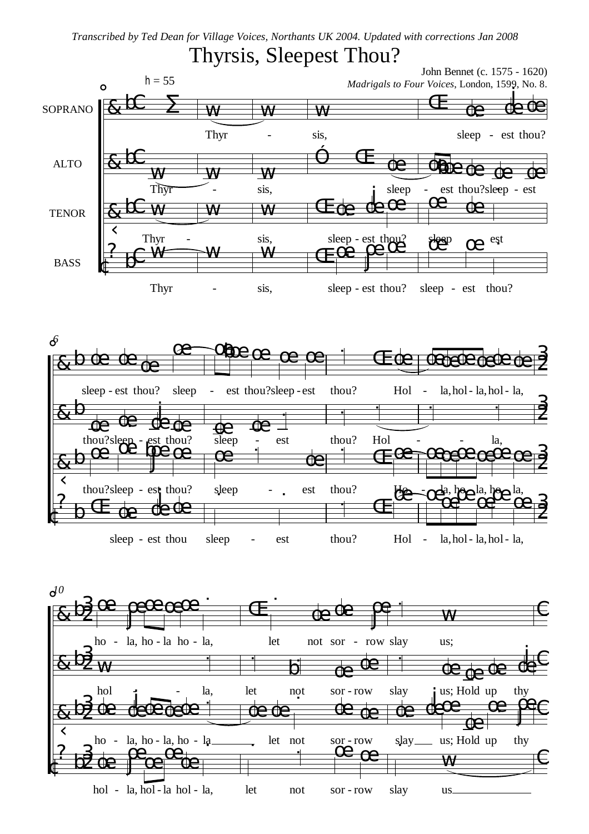*Transcribed by Ted Dean for Village Voices, Northants UK 2004. Updated with corrections Jan 2008*

## Thyrsis, Sleepest Thou?

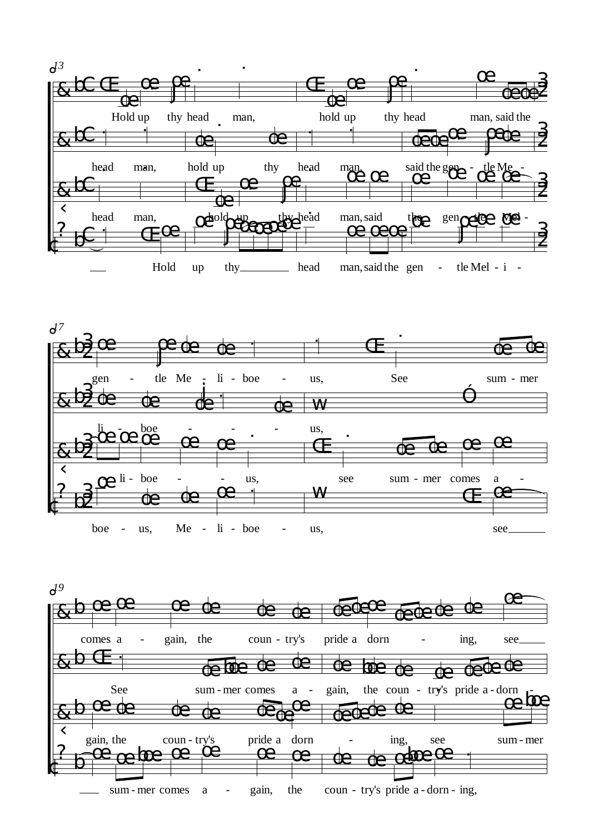



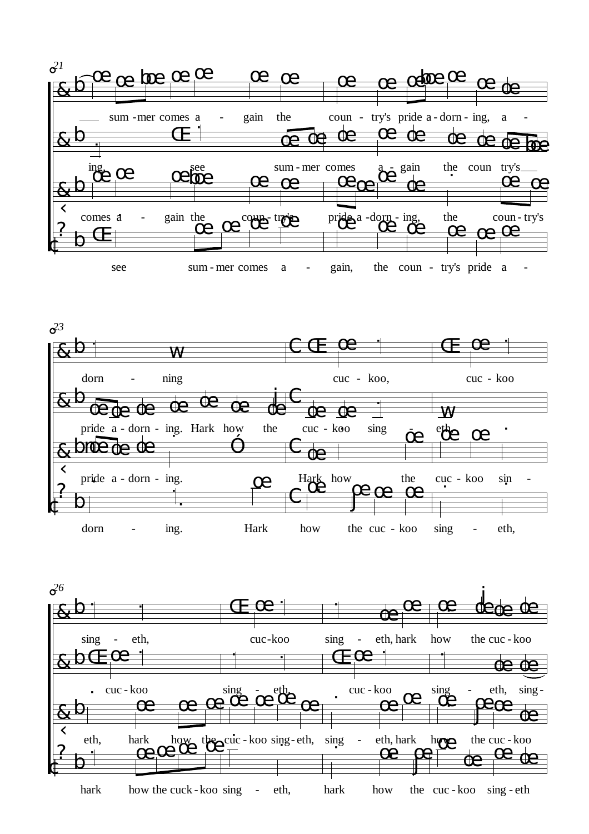



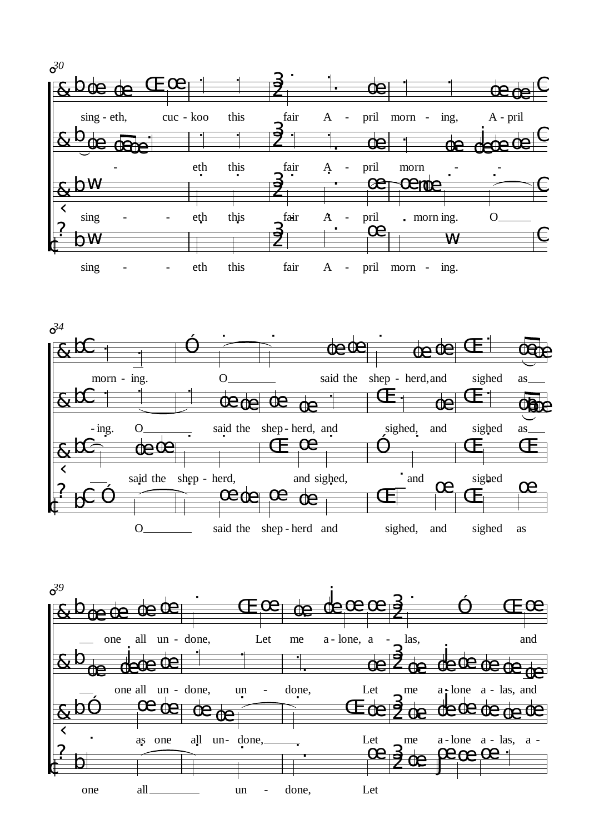